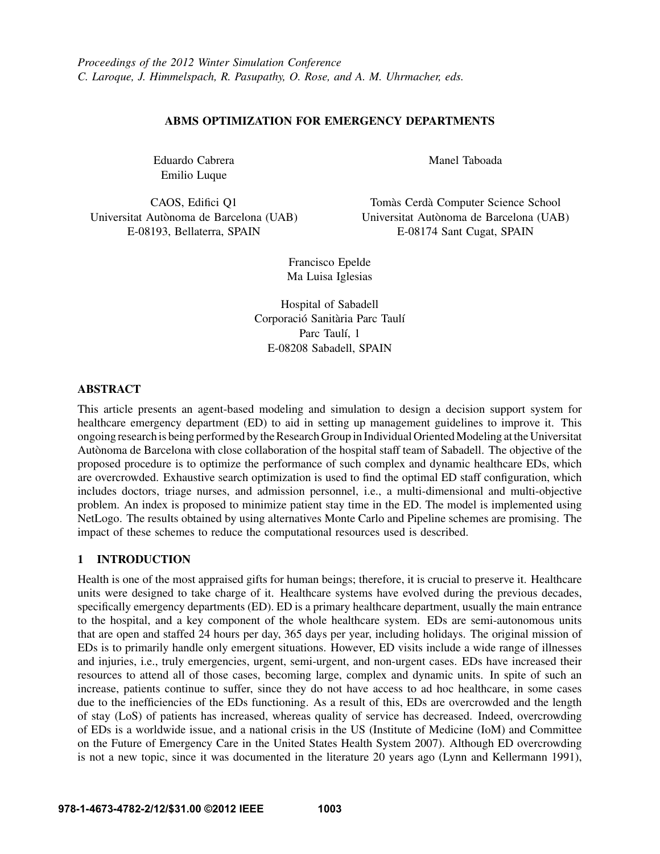## ABMS OPTIMIZATION FOR EMERGENCY DEPARTMENTS

Eduardo Cabrera Emilio Luque

Manel Taboada

CAOS, Edifici Q1 Universitat Autònoma de Barcelona (UAB) E-08193, Bellaterra, SPAIN

Tomàs Cerdà Computer Science School Universitat Autònoma de Barcelona (UAB) E-08174 Sant Cugat, SPAIN

Francisco Epelde Ma Luisa Iglesias

Hospital of Sabadell Corporació Sanitària Parc Taulí Parc Taulí, 1 E-08208 Sabadell, SPAIN

## ABSTRACT

This article presents an agent-based modeling and simulation to design a decision support system for healthcare emergency department (ED) to aid in setting up management guidelines to improve it. This ongoing research is being performed by the Research Group in Individual Oriented Modeling at the Universitat Autònoma de Barcelona with close collaboration of the hospital staff team of Sabadell. The objective of the proposed procedure is to optimize the performance of such complex and dynamic healthcare EDs, which are overcrowded. Exhaustive search optimization is used to find the optimal ED staff configuration, which includes doctors, triage nurses, and admission personnel, i.e., a multi-dimensional and multi-objective problem. An index is proposed to minimize patient stay time in the ED. The model is implemented using NetLogo. The results obtained by using alternatives Monte Carlo and Pipeline schemes are promising. The impact of these schemes to reduce the computational resources used is described.

# 1 INTRODUCTION

Health is one of the most appraised gifts for human beings; therefore, it is crucial to preserve it. Healthcare units were designed to take charge of it. Healthcare systems have evolved during the previous decades, specifically emergency departments (ED). ED is a primary healthcare department, usually the main entrance to the hospital, and a key component of the whole healthcare system. EDs are semi-autonomous units that are open and staffed 24 hours per day, 365 days per year, including holidays. The original mission of EDs is to primarily handle only emergent situations. However, ED visits include a wide range of illnesses and injuries, i.e., truly emergencies, urgent, semi-urgent, and non-urgent cases. EDs have increased their resources to attend all of those cases, becoming large, complex and dynamic units. In spite of such an increase, patients continue to suffer, since they do not have access to ad hoc healthcare, in some cases due to the inefficiencies of the EDs functioning. As a result of this, EDs are overcrowded and the length of stay (LoS) of patients has increased, whereas quality of service has decreased. Indeed, overcrowding of EDs is a worldwide issue, and a national crisis in the US (Institute of Medicine (IoM) and Committee on the Future of Emergency Care in the United States Health System 2007). Although ED overcrowding is not a new topic, since it was documented in the literature 20 years ago (Lynn and Kellermann 1991),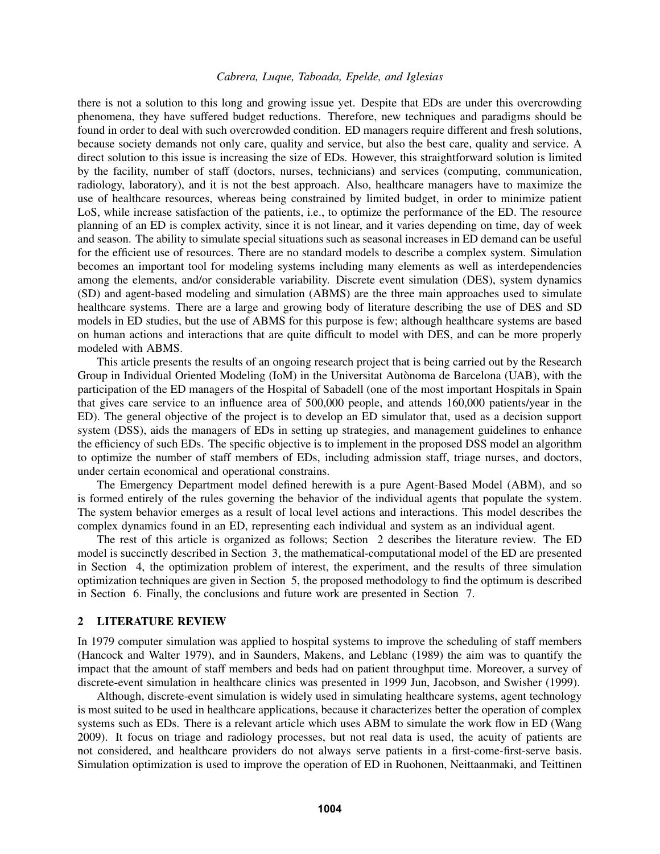there is not a solution to this long and growing issue yet. Despite that EDs are under this overcrowding phenomena, they have suffered budget reductions. Therefore, new techniques and paradigms should be found in order to deal with such overcrowded condition. ED managers require different and fresh solutions, because society demands not only care, quality and service, but also the best care, quality and service. A direct solution to this issue is increasing the size of EDs. However, this straightforward solution is limited by the facility, number of staff (doctors, nurses, technicians) and services (computing, communication, radiology, laboratory), and it is not the best approach. Also, healthcare managers have to maximize the use of healthcare resources, whereas being constrained by limited budget, in order to minimize patient LoS, while increase satisfaction of the patients, i.e., to optimize the performance of the ED. The resource planning of an ED is complex activity, since it is not linear, and it varies depending on time, day of week and season. The ability to simulate special situations such as seasonal increases in ED demand can be useful for the efficient use of resources. There are no standard models to describe a complex system. Simulation becomes an important tool for modeling systems including many elements as well as interdependencies among the elements, and/or considerable variability. Discrete event simulation (DES), system dynamics (SD) and agent-based modeling and simulation (ABMS) are the three main approaches used to simulate healthcare systems. There are a large and growing body of literature describing the use of DES and SD models in ED studies, but the use of ABMS for this purpose is few; although healthcare systems are based on human actions and interactions that are quite difficult to model with DES, and can be more properly modeled with ABMS.

This article presents the results of an ongoing research project that is being carried out by the Research Group in Individual Oriented Modeling (IoM) in the Universitat Autonoma de Barcelona (UAB), with the ` participation of the ED managers of the Hospital of Sabadell (one of the most important Hospitals in Spain that gives care service to an influence area of 500,000 people, and attends 160,000 patients/year in the ED). The general objective of the project is to develop an ED simulator that, used as a decision support system (DSS), aids the managers of EDs in setting up strategies, and management guidelines to enhance the efficiency of such EDs. The specific objective is to implement in the proposed DSS model an algorithm to optimize the number of staff members of EDs, including admission staff, triage nurses, and doctors, under certain economical and operational constrains.

The Emergency Department model defined herewith is a pure Agent-Based Model (ABM), and so is formed entirely of the rules governing the behavior of the individual agents that populate the system. The system behavior emerges as a result of local level actions and interactions. This model describes the complex dynamics found in an ED, representing each individual and system as an individual agent.

The rest of this article is organized as follows; Section 2 describes the literature review. The ED model is succinctly described in Section 3, the mathematical-computational model of the ED are presented in Section 4, the optimization problem of interest, the experiment, and the results of three simulation optimization techniques are given in Section 5, the proposed methodology to find the optimum is described in Section 6. Finally, the conclusions and future work are presented in Section 7.

#### 2 LITERATURE REVIEW

In 1979 computer simulation was applied to hospital systems to improve the scheduling of staff members (Hancock and Walter 1979), and in Saunders, Makens, and Leblanc (1989) the aim was to quantify the impact that the amount of staff members and beds had on patient throughput time. Moreover, a survey of discrete-event simulation in healthcare clinics was presented in 1999 Jun, Jacobson, and Swisher (1999).

Although, discrete-event simulation is widely used in simulating healthcare systems, agent technology is most suited to be used in healthcare applications, because it characterizes better the operation of complex systems such as EDs. There is a relevant article which uses ABM to simulate the work flow in ED (Wang 2009). It focus on triage and radiology processes, but not real data is used, the acuity of patients are not considered, and healthcare providers do not always serve patients in a first-come-first-serve basis. Simulation optimization is used to improve the operation of ED in Ruohonen, Neittaanmaki, and Teittinen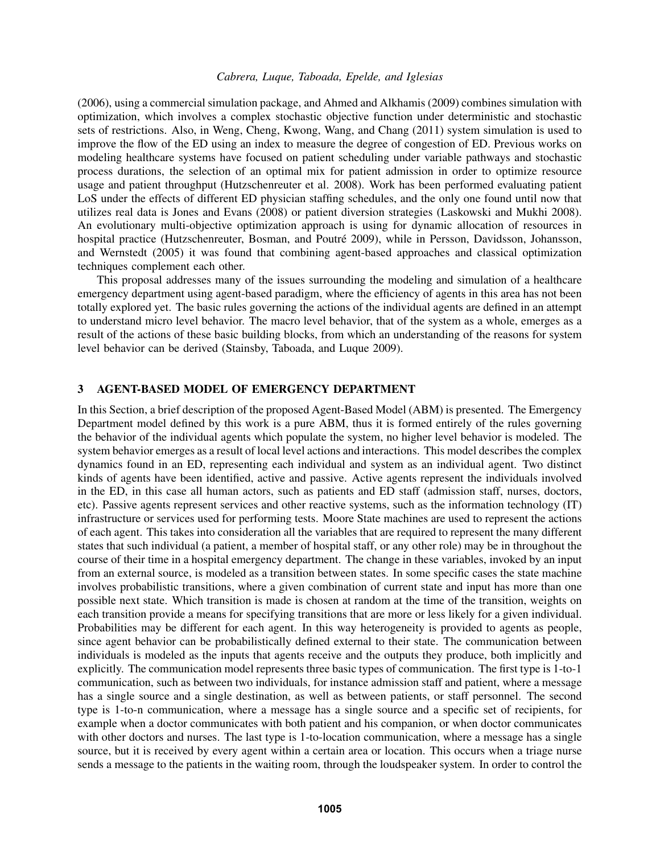(2006), using a commercial simulation package, and Ahmed and Alkhamis (2009) combines simulation with optimization, which involves a complex stochastic objective function under deterministic and stochastic sets of restrictions. Also, in Weng, Cheng, Kwong, Wang, and Chang (2011) system simulation is used to improve the flow of the ED using an index to measure the degree of congestion of ED. Previous works on modeling healthcare systems have focused on patient scheduling under variable pathways and stochastic process durations, the selection of an optimal mix for patient admission in order to optimize resource usage and patient throughput (Hutzschenreuter et al. 2008). Work has been performed evaluating patient LoS under the effects of different ED physician staffing schedules, and the only one found until now that utilizes real data is Jones and Evans (2008) or patient diversion strategies (Laskowski and Mukhi 2008). An evolutionary multi-objective optimization approach is using for dynamic allocation of resources in hospital practice (Hutzschenreuter, Bosman, and Poutré 2009), while in Persson, Davidsson, Johansson, and Wernstedt (2005) it was found that combining agent-based approaches and classical optimization techniques complement each other.

This proposal addresses many of the issues surrounding the modeling and simulation of a healthcare emergency department using agent-based paradigm, where the efficiency of agents in this area has not been totally explored yet. The basic rules governing the actions of the individual agents are defined in an attempt to understand micro level behavior. The macro level behavior, that of the system as a whole, emerges as a result of the actions of these basic building blocks, from which an understanding of the reasons for system level behavior can be derived (Stainsby, Taboada, and Luque 2009).

## 3 AGENT-BASED MODEL OF EMERGENCY DEPARTMENT

In this Section, a brief description of the proposed Agent-Based Model (ABM) is presented. The Emergency Department model defined by this work is a pure ABM, thus it is formed entirely of the rules governing the behavior of the individual agents which populate the system, no higher level behavior is modeled. The system behavior emerges as a result of local level actions and interactions. This model describes the complex dynamics found in an ED, representing each individual and system as an individual agent. Two distinct kinds of agents have been identified, active and passive. Active agents represent the individuals involved in the ED, in this case all human actors, such as patients and ED staff (admission staff, nurses, doctors, etc). Passive agents represent services and other reactive systems, such as the information technology (IT) infrastructure or services used for performing tests. Moore State machines are used to represent the actions of each agent. This takes into consideration all the variables that are required to represent the many different states that such individual (a patient, a member of hospital staff, or any other role) may be in throughout the course of their time in a hospital emergency department. The change in these variables, invoked by an input from an external source, is modeled as a transition between states. In some specific cases the state machine involves probabilistic transitions, where a given combination of current state and input has more than one possible next state. Which transition is made is chosen at random at the time of the transition, weights on each transition provide a means for specifying transitions that are more or less likely for a given individual. Probabilities may be different for each agent. In this way heterogeneity is provided to agents as people, since agent behavior can be probabilistically defined external to their state. The communication between individuals is modeled as the inputs that agents receive and the outputs they produce, both implicitly and explicitly. The communication model represents three basic types of communication. The first type is 1-to-1 communication, such as between two individuals, for instance admission staff and patient, where a message has a single source and a single destination, as well as between patients, or staff personnel. The second type is 1-to-n communication, where a message has a single source and a specific set of recipients, for example when a doctor communicates with both patient and his companion, or when doctor communicates with other doctors and nurses. The last type is 1-to-location communication, where a message has a single source, but it is received by every agent within a certain area or location. This occurs when a triage nurse sends a message to the patients in the waiting room, through the loudspeaker system. In order to control the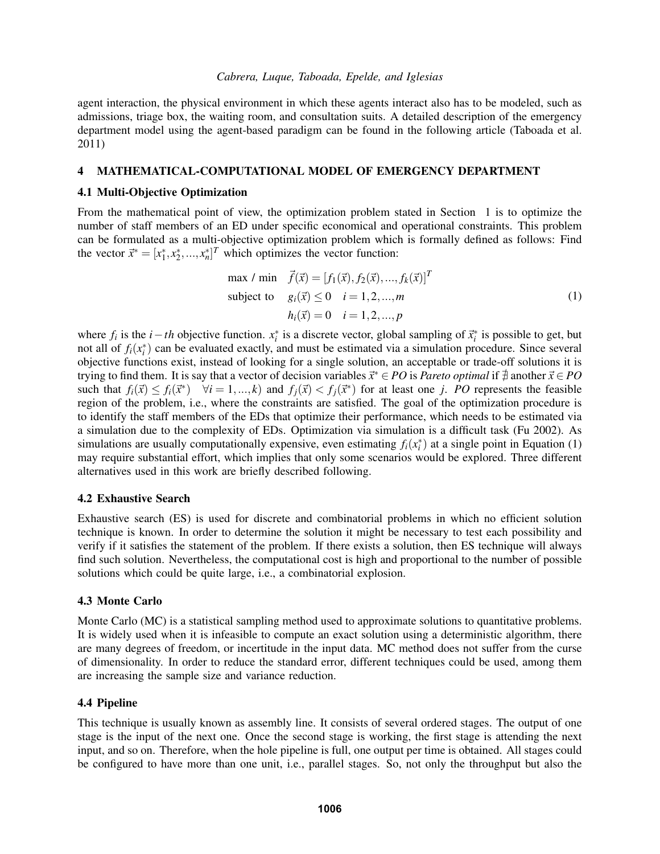agent interaction, the physical environment in which these agents interact also has to be modeled, such as admissions, triage box, the waiting room, and consultation suits. A detailed description of the emergency department model using the agent-based paradigm can be found in the following article (Taboada et al. 2011)

#### 4 MATHEMATICAL-COMPUTATIONAL MODEL OF EMERGENCY DEPARTMENT

## 4.1 Multi-Objective Optimization

From the mathematical point of view, the optimization problem stated in Section 1 is to optimize the number of staff members of an ED under specific economical and operational constraints. This problem can be formulated as a multi-objective optimization problem which is formally defined as follows: Find the vector  $\vec{x}^* = [x_1^*, x_2^*, \dots, x_n^*]^T$  which optimizes the vector function:

max / min 
$$
\vec{f}(\vec{x}) = [f_1(\vec{x}), f_2(\vec{x}), ..., f_k(\vec{x})]^T
$$
  
\nsubject to  $g_i(\vec{x}) \le 0$   $i = 1, 2, ..., m$   
\n $h_i(\vec{x}) = 0$   $i = 1, 2, ..., p$  (1)

where  $f_i$  is the *i*−*th* objective function.  $x_i^*$  is a discrete vector, global sampling of  $\vec{x}_i^*$  is possible to get, but not all of  $f_i(x_i^*)$  can be evaluated exactly, and must be estimated via a simulation procedure. Since several objective functions exist, instead of looking for a single solution, an acceptable or trade-off solutions it is trying to find them. It is say that a vector of decision variables  $\vec{x}^* \in PO$  is *Pareto optimal* if  $\vec{\pm}$  another  $\vec{x} \in PO$ such that  $f_i(\vec{x}) \le f_i(\vec{x}^*)$   $\forall i = 1,...,k$  and  $f_j(\vec{x}) < f_j(\vec{x}^*)$  for at least one j. PO represents the feasible region of the problem, i.e., where the constraints are satisfied. The goal of the optimization procedure is to identify the staff members of the EDs that optimize their performance, which needs to be estimated via a simulation due to the complexity of EDs. Optimization via simulation is a difficult task (Fu 2002). As simulations are usually computationally expensive, even estimating  $f_i(x_i^*)$  at a single point in Equation (1) may require substantial effort, which implies that only some scenarios would be explored. Three different alternatives used in this work are briefly described following.

#### 4.2 Exhaustive Search

Exhaustive search (ES) is used for discrete and combinatorial problems in which no efficient solution technique is known. In order to determine the solution it might be necessary to test each possibility and verify if it satisfies the statement of the problem. If there exists a solution, then ES technique will always find such solution. Nevertheless, the computational cost is high and proportional to the number of possible solutions which could be quite large, i.e., a combinatorial explosion.

#### 4.3 Monte Carlo

Monte Carlo (MC) is a statistical sampling method used to approximate solutions to quantitative problems. It is widely used when it is infeasible to compute an exact solution using a deterministic algorithm, there are many degrees of freedom, or incertitude in the input data. MC method does not suffer from the curse of dimensionality. In order to reduce the standard error, different techniques could be used, among them are increasing the sample size and variance reduction.

#### 4.4 Pipeline

This technique is usually known as assembly line. It consists of several ordered stages. The output of one stage is the input of the next one. Once the second stage is working, the first stage is attending the next input, and so on. Therefore, when the hole pipeline is full, one output per time is obtained. All stages could be configured to have more than one unit, i.e., parallel stages. So, not only the throughput but also the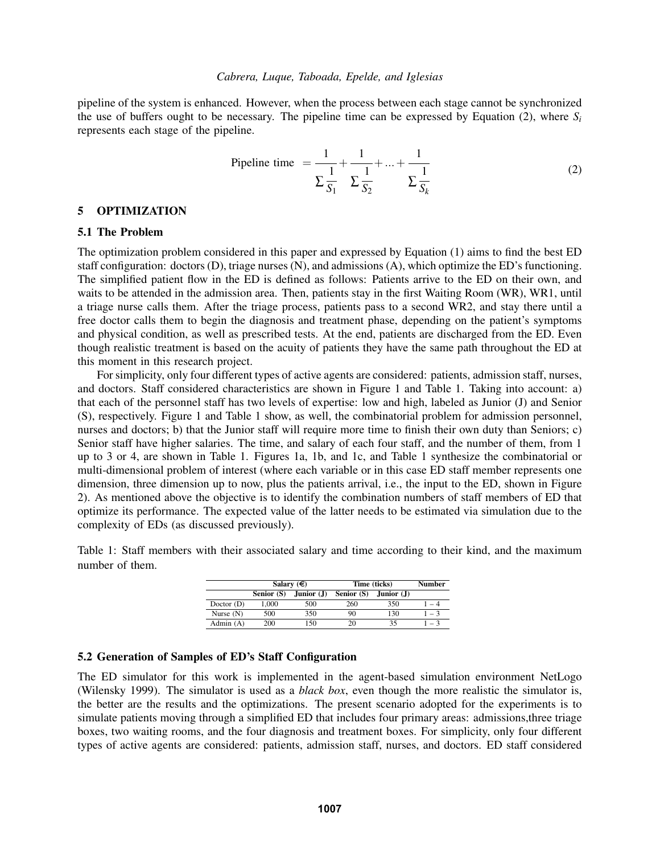pipeline of the system is enhanced. However, when the process between each stage cannot be synchronized the use of buffers ought to be necessary. The pipeline time can be expressed by Equation (2), where  $S_i$ represents each stage of the pipeline.

Pipeline time 
$$
=\frac{1}{\sum_{i=1}^{1} \sum_{j=1}^{n} \sum_{j=1}^{n} \sum_{k=1}^{n} \sum_{k=1}^{n} (2)}
$$

#### 5 OPTIMIZATION

## 5.1 The Problem

The optimization problem considered in this paper and expressed by Equation (1) aims to find the best ED staff configuration: doctors (D), triage nurses (N), and admissions (A), which optimize the ED's functioning. The simplified patient flow in the ED is defined as follows: Patients arrive to the ED on their own, and waits to be attended in the admission area. Then, patients stay in the first Waiting Room (WR), WR1, until a triage nurse calls them. After the triage process, patients pass to a second WR2, and stay there until a free doctor calls them to begin the diagnosis and treatment phase, depending on the patient's symptoms and physical condition, as well as prescribed tests. At the end, patients are discharged from the ED. Even though realistic treatment is based on the acuity of patients they have the same path throughout the ED at this moment in this research project.

For simplicity, only four different types of active agents are considered: patients, admission staff, nurses, and doctors. Staff considered characteristics are shown in Figure 1 and Table 1. Taking into account: a) that each of the personnel staff has two levels of expertise: low and high, labeled as Junior (J) and Senior (S), respectively. Figure 1 and Table 1 show, as well, the combinatorial problem for admission personnel, nurses and doctors; b) that the Junior staff will require more time to finish their own duty than Seniors; c) Senior staff have higher salaries. The time, and salary of each four staff, and the number of them, from 1 up to 3 or 4, are shown in Table 1. Figures 1a, 1b, and 1c, and Table 1 synthesize the combinatorial or multi-dimensional problem of interest (where each variable or in this case ED staff member represents one dimension, three dimension up to now, plus the patients arrival, i.e., the input to the ED, shown in Figure 2). As mentioned above the objective is to identify the combination numbers of staff members of ED that optimize its performance. The expected value of the latter needs to be estimated via simulation due to the complexity of EDs (as discussed previously).

Table 1: Staff members with their associated salary and time according to their kind, and the maximum number of them.

|              |            | Salary $(€)$ | Time (ticks) | <b>Number</b> |      |
|--------------|------------|--------------|--------------|---------------|------|
|              | Senior (S) | Junior $(J)$ | Senior (S)   | Junior $(J)$  |      |
| Doctor $(D)$ | 1.000      | 500          | 260          | 350           |      |
| Nurse $(N)$  | 500        | 350          | 90           | 130           | $-3$ |
| Admin (A)    | 200        | 150          | 20           | 35            | $-3$ |

### 5.2 Generation of Samples of ED's Staff Configuration

The ED simulator for this work is implemented in the agent-based simulation environment NetLogo (Wilensky 1999). The simulator is used as a *black box*, even though the more realistic the simulator is, the better are the results and the optimizations. The present scenario adopted for the experiments is to simulate patients moving through a simplified ED that includes four primary areas: admissions,three triage boxes, two waiting rooms, and the four diagnosis and treatment boxes. For simplicity, only four different types of active agents are considered: patients, admission staff, nurses, and doctors. ED staff considered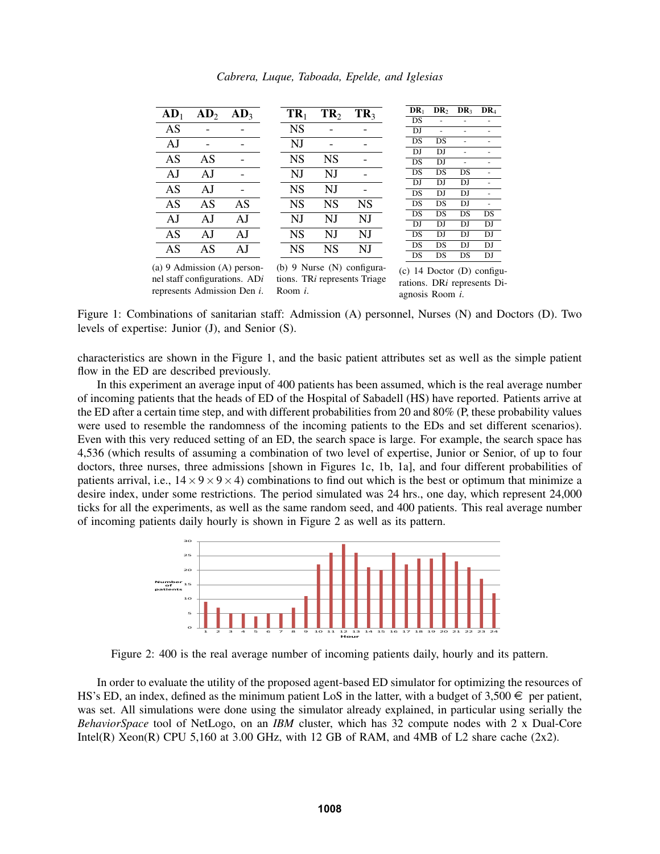| $AD_1$ | AD <sub>2</sub> | AD <sub>3</sub>                                                | $TR_1$    | TR <sub>2</sub> | TR <sub>3</sub>                                              | DR <sub>1</sub> | DR <sub>2</sub> | DR <sub>3</sub> | DR <sub>4</sub>                                               |
|--------|-----------------|----------------------------------------------------------------|-----------|-----------------|--------------------------------------------------------------|-----------------|-----------------|-----------------|---------------------------------------------------------------|
|        |                 |                                                                |           |                 |                                                              | DS              |                 |                 |                                                               |
| AS     |                 |                                                                | NS        |                 |                                                              | DJ              |                 |                 |                                                               |
| AJ     |                 |                                                                | NJ        |                 |                                                              | DS              | DS              |                 |                                                               |
|        |                 |                                                                |           |                 |                                                              | DJ.             | DJ              |                 |                                                               |
| AS     | AS              |                                                                | NS        | NS              |                                                              | DS              | DJ              |                 |                                                               |
| AJ     | AJ              |                                                                | NJ        | NJ              |                                                              | DS              | DS              | DS              |                                                               |
|        |                 |                                                                |           |                 |                                                              | DJ              | DJ              | DJ              |                                                               |
| AS     | AJ              |                                                                | NS        | NJ              |                                                              | DS              | DJ              | DJ              |                                                               |
| AS     | AS              | AS                                                             | NS        | NS              | NS                                                           | DS              | DS              | DJ              |                                                               |
|        |                 |                                                                | NJ        |                 |                                                              | DS              | DS              | DS              | DS                                                            |
| AJ     | AJ              | AJ                                                             |           | NJ              | NJ                                                           | DJ              | DJ              | DJ              | DJ                                                            |
| AS     | AJ              | AJ                                                             | <b>NS</b> | NJ              | NJ                                                           | DS              | DJ              | DJ              | DJ                                                            |
| AS     | AS              | AJ                                                             | <b>NS</b> | <b>NS</b>       | NJ                                                           | DS              | DS              | DJ              | DJ                                                            |
|        |                 |                                                                |           |                 |                                                              | DS              | DS              | DS              | DJ                                                            |
|        |                 | (a) $9$ Admission (A) person-<br>nel staff configurations. ADi |           |                 | (b) 9 Nurse $(N)$ configura-<br>tions. TRi represents Triage |                 |                 |                 | $(c)$ 14 Doctor $(D)$ configu-<br>rations. DRi represents Di- |

*Cabrera, Luque, Taboada, Epelde, and Iglesias*

represents Admission Den *i*. Room *i*.

agnosis Room *i*.

Figure 1: Combinations of sanitarian staff: Admission (A) personnel, Nurses (N) and Doctors (D). Two levels of expertise: Junior (J), and Senior (S).

characteristics are shown in the Figure 1, and the basic patient attributes set as well as the simple patient flow in the ED are described previously.

In this experiment an average input of 400 patients has been assumed, which is the real average number of incoming patients that the heads of ED of the Hospital of Sabadell (HS) have reported. Patients arrive at the ED after a certain time step, and with different probabilities from 20 and 80% (P, these probability values were used to resemble the randomness of the incoming patients to the EDs and set different scenarios). Even with this very reduced setting of an ED, the search space is large. For example, the search space has 4,536 (which results of assuming a combination of two level of expertise, Junior or Senior, of up to four doctors, three nurses, three admissions [shown in Figures 1c, 1b, 1a], and four different probabilities of patients arrival, i.e.,  $14 \times 9 \times 9 \times 4$ ) combinations to find out which is the best or optimum that minimize a desire index, under some restrictions. The period simulated was 24 hrs., one day, which represent 24,000 ticks for all the experiments, as well as the same random seed, and 400 patients. This real average number of incoming patients daily hourly is shown in Figure 2 as well as its pattern.



Figure 2: 400 is the real average number of incoming patients daily, hourly and its pattern.

In order to evaluate the utility of the proposed agent-based ED simulator for optimizing the resources of HS's ED, an index, defined as the minimum patient LoS in the latter, with a budget of  $3,500 \in$  per patient, was set. All simulations were done using the simulator already explained, in particular using serially the *BehaviorSpace* tool of NetLogo, on an *IBM* cluster, which has 32 compute nodes with 2 x Dual-Core Intel(R) Xeon(R) CPU 5,160 at 3.00 GHz, with 12 GB of RAM, and 4MB of L2 share cache (2x2).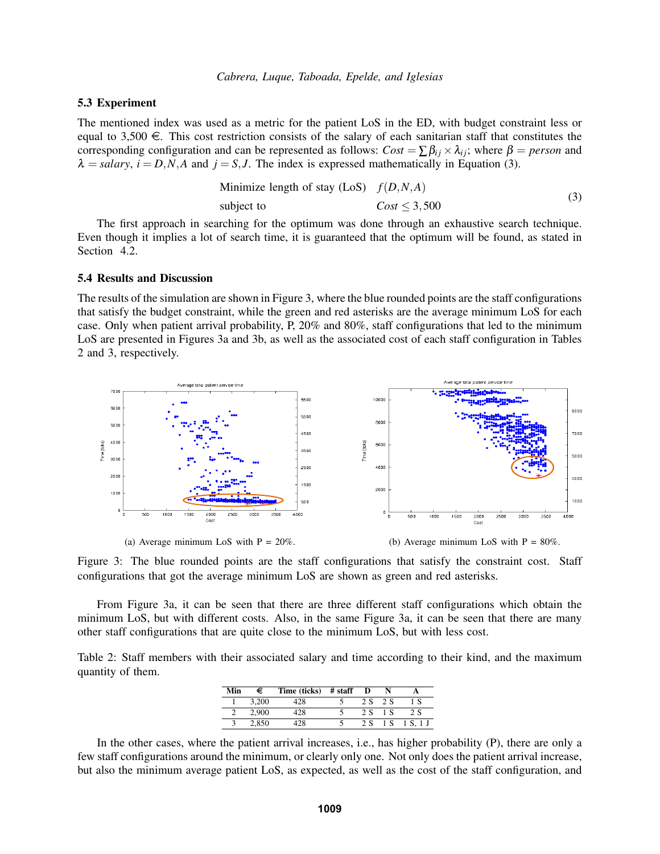## 5.3 Experiment

The mentioned index was used as a metric for the patient LoS in the ED, with budget constraint less or equal to 3,500  $\epsilon$ . This cost restriction consists of the salary of each sanitarian staff that constitutes the corresponding configuration and can be represented as follows:  $Cost = \sum \beta_{ij} \times \lambda_{ij}$ ; where  $\beta = person$  and  $\lambda = \text{salary}$ ,  $i = D, N, A$  and  $j = S, J$ . The index is expressed mathematically in Equation (3).

Minimize length of stay (LoS) 
$$
f(D, N, A)
$$
  
subject to 
$$
Cost \le 3,500
$$
 (3)

The first approach in searching for the optimum was done through an exhaustive search technique. Even though it implies a lot of search time, it is guaranteed that the optimum will be found, as stated in Section 4.2.

#### 5.4 Results and Discussion

The results of the simulation are shown in Figure 3, where the blue rounded points are the staff configurations that satisfy the budget constraint, while the green and red asterisks are the average minimum LoS for each case. Only when patient arrival probability, P, 20% and 80%, staff configurations that led to the minimum LoS are presented in Figures 3a and 3b, as well as the associated cost of each staff configuration in Tables 2 and 3, respectively.





Figure 3: The blue rounded points are the staff configurations that satisfy the constraint cost. Staff configurations that got the average minimum LoS are shown as green and red asterisks.

From Figure 3a, it can be seen that there are three different staff configurations which obtain the minimum LoS, but with different costs. Also, in the same Figure 3a, it can be seen that there are many other staff configurations that are quite close to the minimum LoS, but with less cost.

Table 2: Staff members with their associated salary and time according to their kind, and the maximum quantity of them.

| Min | €     | Time (ticks) # staff | D       |         |          |
|-----|-------|----------------------|---------|---------|----------|
|     | 3.200 | 428                  | 2 S 2 S |         | 1 S      |
|     | 2.900 | 428                  | 2 S 1 S |         | 2 S      |
|     | 2.850 | -28                  |         | 2 S 1 S | 1 S. 1 J |

In the other cases, where the patient arrival increases, i.e., has higher probability (P), there are only a few staff configurations around the minimum, or clearly only one. Not only does the patient arrival increase, but also the minimum average patient LoS, as expected, as well as the cost of the staff configuration, and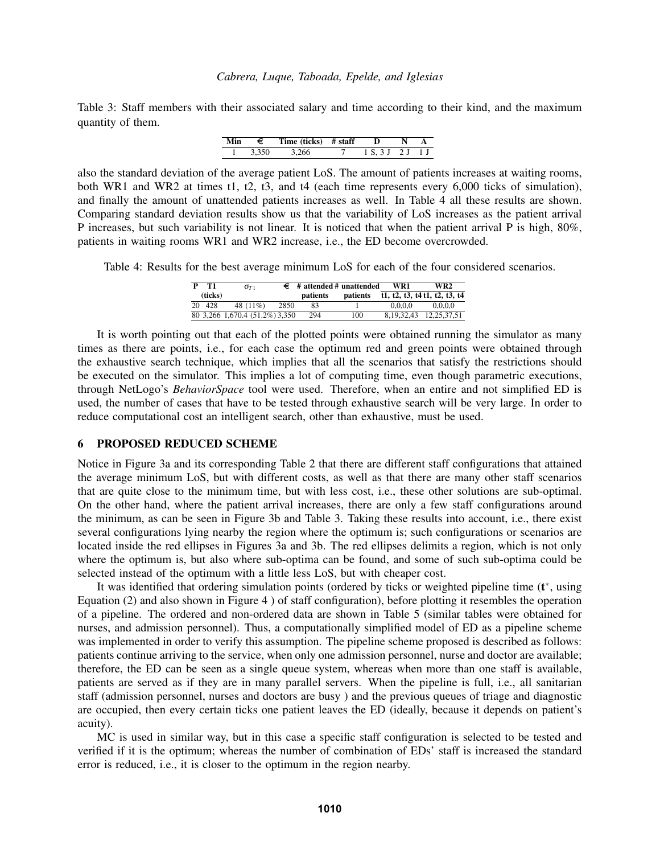Table 3: Staff members with their associated salary and time according to their kind, and the maximum quantity of them.

|  | Min $\in$ Time (ticks) # staff D N A |                    |  |
|--|--------------------------------------|--------------------|--|
|  | $1 \quad 3.350 \quad 3.266$          | 7 1 S, 3 J 2 J 1 J |  |

also the standard deviation of the average patient LoS. The amount of patients increases at waiting rooms, both WR1 and WR2 at times t1, t2, t3, and t4 (each time represents every 6,000 ticks of simulation), and finally the amount of unattended patients increases as well. In Table 4 all these results are shown. Comparing standard deviation results show us that the variability of LoS increases as the patient arrival P increases, but such variability is not linear. It is noticed that when the patient arrival P is high, 80%, patients in waiting rooms WR1 and WR2 increase, i.e., the ED become overcrowded.

Table 4: Results for the best average minimum LoS for each of the four considered scenarios.

|    | T1      | $\sigma_{T1}$                  |      | $\epsilon$ # attended # unattended |          | WR1        | WR2                          |  |
|----|---------|--------------------------------|------|------------------------------------|----------|------------|------------------------------|--|
|    | (ticks) |                                |      | patients                           | patients |            | t1, t2, t3, t4t1, t2, t3, t4 |  |
| 20 | 428     | 48 (11%)                       | 2850 | 83                                 |          | 0.0.0.0    | 0.0.0.0                      |  |
|    |         | 80 3,266 1,670.4 (51.2%) 3,350 |      | 294                                | 100      | 8.19.32.43 | 12.25.37.51                  |  |

It is worth pointing out that each of the plotted points were obtained running the simulator as many times as there are points, i.e., for each case the optimum red and green points were obtained through the exhaustive search technique, which implies that all the scenarios that satisfy the restrictions should be executed on the simulator. This implies a lot of computing time, even though parametric executions, through NetLogo's *BehaviorSpace* tool were used. Therefore, when an entire and not simplified ED is used, the number of cases that have to be tested through exhaustive search will be very large. In order to reduce computational cost an intelligent search, other than exhaustive, must be used.

## 6 PROPOSED REDUCED SCHEME

Notice in Figure 3a and its corresponding Table 2 that there are different staff configurations that attained the average minimum LoS, but with different costs, as well as that there are many other staff scenarios that are quite close to the minimum time, but with less cost, i.e., these other solutions are sub-optimal. On the other hand, where the patient arrival increases, there are only a few staff configurations around the minimum, as can be seen in Figure 3b and Table 3. Taking these results into account, i.e., there exist several configurations lying nearby the region where the optimum is; such configurations or scenarios are located inside the red ellipses in Figures 3a and 3b. The red ellipses delimits a region, which is not only where the optimum is, but also where sub-optima can be found, and some of such sub-optima could be selected instead of the optimum with a little less LoS, but with cheaper cost.

It was identified that ordering simulation points (ordered by ticks or weighted pipeline time (t\*, using Equation (2) and also shown in Figure 4 ) of staff configuration), before plotting it resembles the operation of a pipeline. The ordered and non-ordered data are shown in Table 5 (similar tables were obtained for nurses, and admission personnel). Thus, a computationally simplified model of ED as a pipeline scheme was implemented in order to verify this assumption. The pipeline scheme proposed is described as follows: patients continue arriving to the service, when only one admission personnel, nurse and doctor are available; therefore, the ED can be seen as a single queue system, whereas when more than one staff is available, patients are served as if they are in many parallel servers. When the pipeline is full, i.e., all sanitarian staff (admission personnel, nurses and doctors are busy ) and the previous queues of triage and diagnostic are occupied, then every certain ticks one patient leaves the ED (ideally, because it depends on patient's acuity).

MC is used in similar way, but in this case a specific staff configuration is selected to be tested and verified if it is the optimum; whereas the number of combination of EDs' staff is increased the standard error is reduced, i.e., it is closer to the optimum in the region nearby.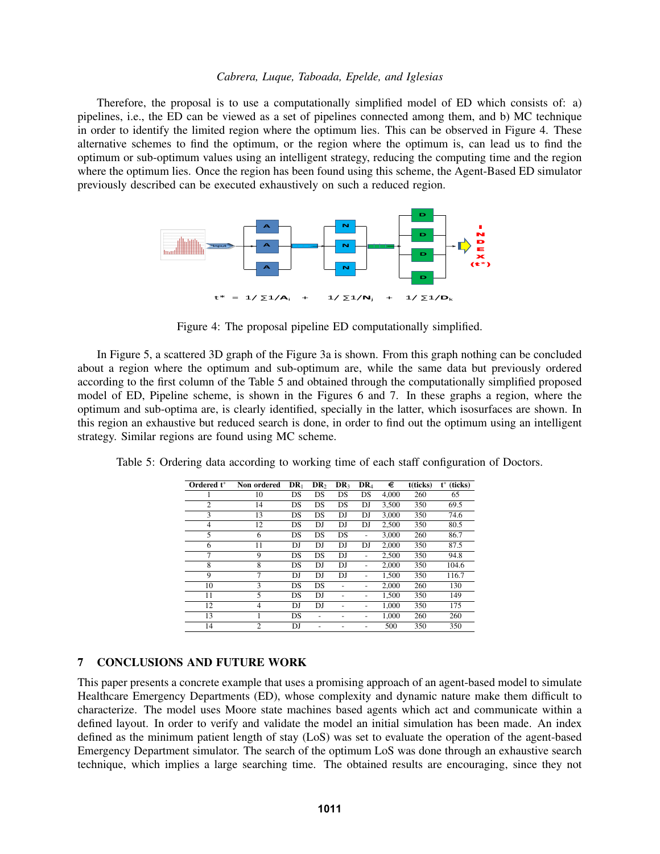Therefore, the proposal is to use a computationally simplified model of ED which consists of: a) pipelines, i.e., the ED can be viewed as a set of pipelines connected among them, and b) MC technique in order to identify the limited region where the optimum lies. This can be observed in Figure 4. These alternative schemes to find the optimum, or the region where the optimum is, can lead us to find the optimum or sub-optimum values using an intelligent strategy, reducing the computing time and the region where the optimum lies. Once the region has been found using this scheme, the Agent-Based ED simulator previously described can be executed exhaustively on such a reduced region.



Figure 4: The proposal pipeline ED computationally simplified.

In Figure 5, a scattered 3D graph of the Figure 3a is shown. From this graph nothing can be concluded about a region where the optimum and sub-optimum are, while the same data but previously ordered according to the first column of the Table 5 and obtained through the computationally simplified proposed model of ED, Pipeline scheme, is shown in the Figures 6 and 7. In these graphs a region, where the optimum and sub-optima are, is clearly identified, specially in the latter, which isosurfaces are shown. In this region an exhaustive but reduced search is done, in order to find out the optimum using an intelligent strategy. Similar regions are found using MC scheme.

| Ordered t*     | Non ordered    | DR <sub>1</sub> | DR <sub>2</sub> | DR <sub>3</sub> | DR <sub>4</sub> | €     | t(ticks) | $t^*$ (ticks) |
|----------------|----------------|-----------------|-----------------|-----------------|-----------------|-------|----------|---------------|
|                | 10             | DS              | DS              | DS              | DS              | 4,000 | 260      | 65            |
| $\overline{c}$ | 14             | DS              | DS              | DS              | DJ              | 3,500 | 350      | 69.5          |
| 3              | 13             | DS              | DS              | DJ              | DJ              | 3,000 | 350      | 74.6          |
| $\overline{4}$ | 12             | DS              | DJ              | DJ              | DJ              | 2,500 | 350      | 80.5          |
| 5              | 6              | DS              | DS              | DS              |                 | 3,000 | 260      | 86.7          |
| 6              | 11             | DJ              | DJ              | DJ              | DJ              | 2.000 | 350      | 87.5          |
| 7              | 9              | DS              | DS              | DJ              |                 | 2,500 | 350      | 94.8          |
| 8              | 8              | DS              | DJ              | DJ              |                 | 2.000 | 350      | 104.6         |
| 9              | 7              | DJ              | DJ              | DJ              |                 | 1,500 | 350      | 116.7         |
| 10             | 3              | DS              | DS              |                 |                 | 2.000 | 260      | 130           |
| 11             | 5              | DS              | DJ              |                 |                 | 1,500 | 350      | 149           |
| 12             | 4              | DJ              | DJ              |                 |                 | 1.000 | 350      | 175           |
| 13             |                | DS              |                 |                 |                 | 1.000 | 260      | 260           |
| 14             | $\overline{c}$ | DJ              |                 |                 |                 | 500   | 350      | 350           |

Table 5: Ordering data according to working time of each staff configuration of Doctors.

#### 7 CONCLUSIONS AND FUTURE WORK

This paper presents a concrete example that uses a promising approach of an agent-based model to simulate Healthcare Emergency Departments (ED), whose complexity and dynamic nature make them difficult to characterize. The model uses Moore state machines based agents which act and communicate within a defined layout. In order to verify and validate the model an initial simulation has been made. An index defined as the minimum patient length of stay (LoS) was set to evaluate the operation of the agent-based Emergency Department simulator. The search of the optimum LoS was done through an exhaustive search technique, which implies a large searching time. The obtained results are encouraging, since they not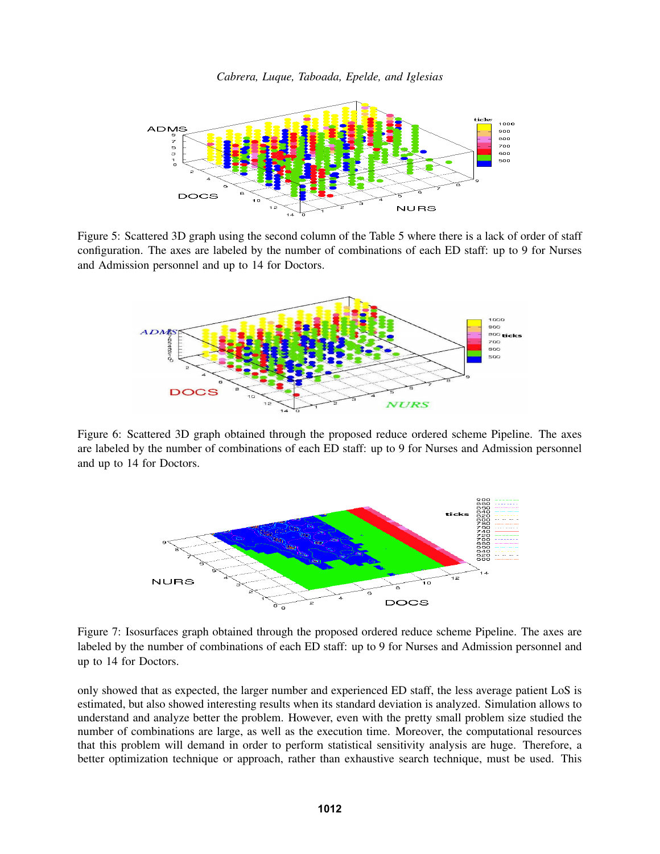*Cabrera, Luque, Taboada, Epelde, and Iglesias*



Figure 5: Scattered 3D graph using the second column of the Table 5 where there is a lack of order of staff configuration. The axes are labeled by the number of combinations of each ED staff: up to 9 for Nurses and Admission personnel and up to 14 for Doctors.



Figure 6: Scattered 3D graph obtained through the proposed reduce ordered scheme Pipeline. The axes are labeled by the number of combinations of each ED staff: up to 9 for Nurses and Admission personnel and up to 14 for Doctors.



Figure 7: Isosurfaces graph obtained through the proposed ordered reduce scheme Pipeline. The axes are labeled by the number of combinations of each ED staff: up to 9 for Nurses and Admission personnel and up to 14 for Doctors.

only showed that as expected, the larger number and experienced ED staff, the less average patient LoS is estimated, but also showed interesting results when its standard deviation is analyzed. Simulation allows to understand and analyze better the problem. However, even with the pretty small problem size studied the number of combinations are large, as well as the execution time. Moreover, the computational resources that this problem will demand in order to perform statistical sensitivity analysis are huge. Therefore, a better optimization technique or approach, rather than exhaustive search technique, must be used. This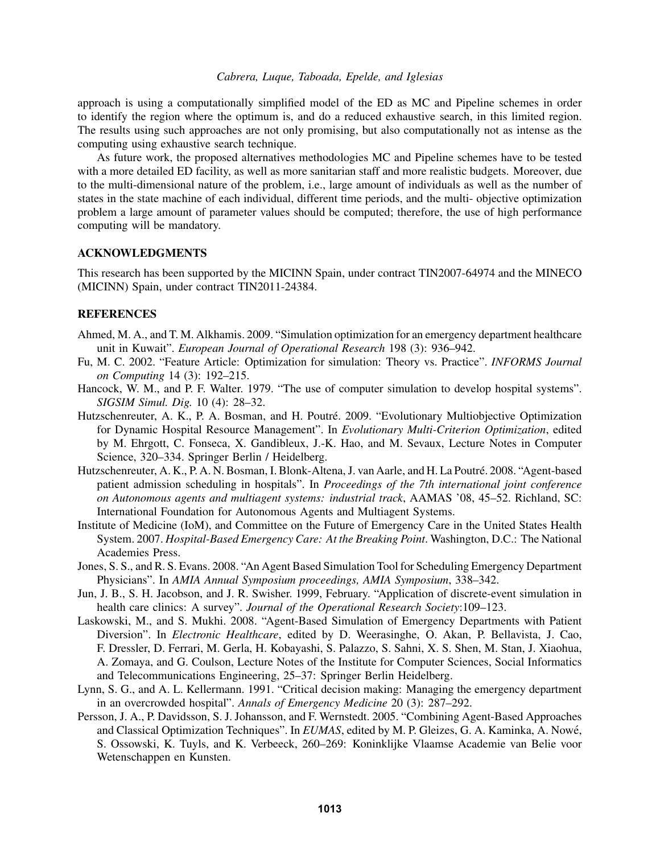approach is using a computationally simplified model of the ED as MC and Pipeline schemes in order to identify the region where the optimum is, and do a reduced exhaustive search, in this limited region. The results using such approaches are not only promising, but also computationally not as intense as the computing using exhaustive search technique.

As future work, the proposed alternatives methodologies MC and Pipeline schemes have to be tested with a more detailed ED facility, as well as more sanitarian staff and more realistic budgets. Moreover, due to the multi-dimensional nature of the problem, i.e., large amount of individuals as well as the number of states in the state machine of each individual, different time periods, and the multi- objective optimization problem a large amount of parameter values should be computed; therefore, the use of high performance computing will be mandatory.

## ACKNOWLEDGMENTS

This research has been supported by the MICINN Spain, under contract TIN2007-64974 and the MINECO (MICINN) Spain, under contract TIN2011-24384.

## **REFERENCES**

- Ahmed, M. A., and T. M. Alkhamis. 2009. "Simulation optimization for an emergency department healthcare unit in Kuwait". *European Journal of Operational Research* 198 (3): 936–942.
- Fu, M. C. 2002. "Feature Article: Optimization for simulation: Theory vs. Practice". *INFORMS Journal on Computing* 14 (3): 192–215.
- Hancock, W. M., and P. F. Walter. 1979. "The use of computer simulation to develop hospital systems". *SIGSIM Simul. Dig.* 10 (4): 28–32.
- Hutzschenreuter, A. K., P. A. Bosman, and H. Poutré. 2009. "Evolutionary Multiobjective Optimization for Dynamic Hospital Resource Management". In *Evolutionary Multi-Criterion Optimization*, edited by M. Ehrgott, C. Fonseca, X. Gandibleux, J.-K. Hao, and M. Sevaux, Lecture Notes in Computer Science, 320–334. Springer Berlin / Heidelberg.
- Hutzschenreuter, A. K., P. A. N. Bosman, I. Blonk-Altena, J. van Aarle, and H. La Poutre. 2008. "Agent-based ´ patient admission scheduling in hospitals". In *Proceedings of the 7th international joint conference on Autonomous agents and multiagent systems: industrial track*, AAMAS '08, 45–52. Richland, SC: International Foundation for Autonomous Agents and Multiagent Systems.
- Institute of Medicine (IoM), and Committee on the Future of Emergency Care in the United States Health System. 2007. *Hospital-Based Emergency Care: At the Breaking Point*. Washington, D.C.: The National Academies Press.
- Jones, S. S., and R. S. Evans. 2008. "An Agent Based Simulation Tool for Scheduling Emergency Department Physicians". In *AMIA Annual Symposium proceedings, AMIA Symposium*, 338–342.
- Jun, J. B., S. H. Jacobson, and J. R. Swisher. 1999, February. "Application of discrete-event simulation in health care clinics: A survey". *Journal of the Operational Research Society*:109–123.
- Laskowski, M., and S. Mukhi. 2008. "Agent-Based Simulation of Emergency Departments with Patient Diversion". In *Electronic Healthcare*, edited by D. Weerasinghe, O. Akan, P. Bellavista, J. Cao, F. Dressler, D. Ferrari, M. Gerla, H. Kobayashi, S. Palazzo, S. Sahni, X. S. Shen, M. Stan, J. Xiaohua, A. Zomaya, and G. Coulson, Lecture Notes of the Institute for Computer Sciences, Social Informatics and Telecommunications Engineering, 25–37: Springer Berlin Heidelberg.
- Lynn, S. G., and A. L. Kellermann. 1991. "Critical decision making: Managing the emergency department in an overcrowded hospital". *Annals of Emergency Medicine* 20 (3): 287–292.
- Persson, J. A., P. Davidsson, S. J. Johansson, and F. Wernstedt. 2005. "Combining Agent-Based Approaches and Classical Optimization Techniques". In *EUMAS*, edited by M. P. Gleizes, G. A. Kaminka, A. Nowe,´ S. Ossowski, K. Tuyls, and K. Verbeeck, 260–269: Koninklijke Vlaamse Academie van Belie voor Wetenschappen en Kunsten.